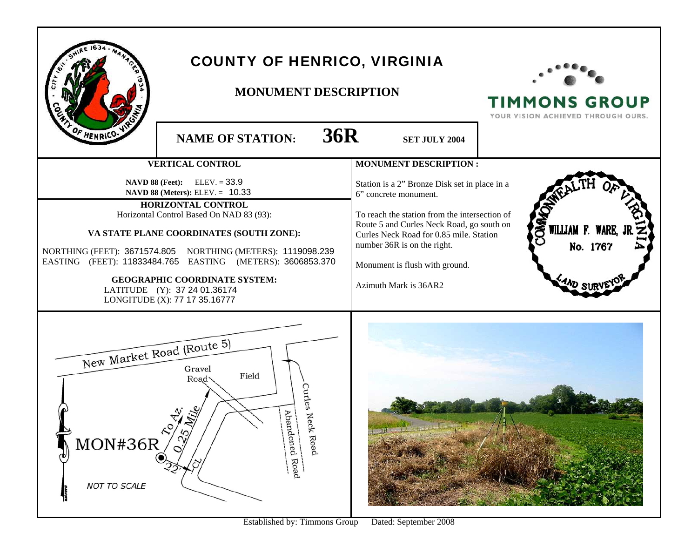| OF HENRICO.V                                                                                                                                                                                                                                                                                                                                                                                                                                                   | <b>COUNTY OF HENRICO, VIRGINIA</b><br><b>MONUMENT DESCRIPTION</b><br><b>36R</b><br><b>NAME OF STATION:</b><br><b>SET JULY 2004</b> |                                                                                                                                                                                                                                                                                                                                           | <b>TIMMONS GROUP</b><br>YOUR VISION ACHIEVED THROUGH OURS. |
|----------------------------------------------------------------------------------------------------------------------------------------------------------------------------------------------------------------------------------------------------------------------------------------------------------------------------------------------------------------------------------------------------------------------------------------------------------------|------------------------------------------------------------------------------------------------------------------------------------|-------------------------------------------------------------------------------------------------------------------------------------------------------------------------------------------------------------------------------------------------------------------------------------------------------------------------------------------|------------------------------------------------------------|
| <b>VERTICAL CONTROL</b><br><b>NAVD 88 (Feet):</b> ELEV. = $33.9$<br><b>NAVD 88 (Meters): ELEV. = 10.33</b><br>HORIZONTAL CONTROL<br>Horizontal Control Based On NAD 83 (93):<br>VA STATE PLANE COORDINATES (SOUTH ZONE):<br>NORTHING (FEET): 3671574.805 NORTHING (METERS): 1119098.239<br>EASTING (FEET): 11833484.765 EASTING (METERS): 3606853.370<br><b>GEOGRAPHIC COORDINATE SYSTEM:</b><br>LATITUDE (Y): 37 24 01.36174<br>LONGITUDE (X): 77 17 35.16777 |                                                                                                                                    | <b>MONUMENT DESCRIPTION:</b><br>Station is a 2" Bronze Disk set in place in a<br>6" concrete monument.<br>To reach the station from the intersection of<br>Route 5 and Curles Neck Road, go south on<br>Curles Neck Road for 0.85 mile. Station<br>number 36R is on the right.<br>Monument is flush with ground.<br>Azimuth Mark is 36AR2 | <b>DMA</b><br>WILLIAM F. WARE,<br>No. 1767<br>AND SUR      |
| New Market Road (Route 5)<br>Gravel<br>Field<br>Road <sup></sup><br><b>Curles</b><br>Aba<br>Ne<br>ndoned<br>ম<br>Road<br>MON#36R<br>Road<br><b>NOT TO SCALE</b><br>$\Gamma_{\alpha\beta}$                                                                                                                                                                                                                                                                      |                                                                                                                                    | $D_{\text{obs}}$ J. Containless 2000                                                                                                                                                                                                                                                                                                      |                                                            |

Established by: Timmons Group Dated: September 2008